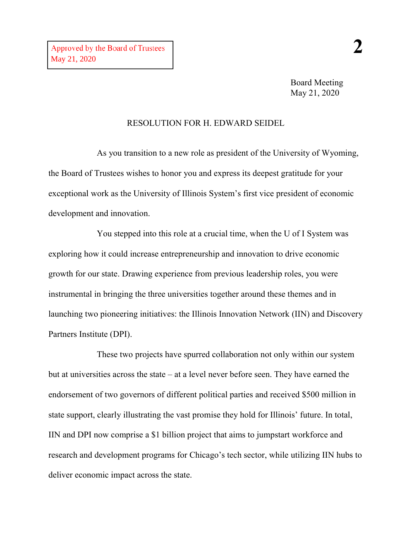Board Meeting May 21, 2020

## RESOLUTION FOR H. EDWARD SEIDEL

As you transition to a new role as president of the University of Wyoming, the Board of Trustees wishes to honor you and express its deepest gratitude for your exceptional work as the University of Illinois System's first vice president of economic development and innovation.

You stepped into this role at a crucial time, when the U of I System was exploring how it could increase entrepreneurship and innovation to drive economic growth for our state. Drawing experience from previous leadership roles, you were instrumental in bringing the three universities together around these themes and in launching two pioneering initiatives: the Illinois Innovation Network (IIN) and Discovery Partners Institute (DPI).

These two projects have spurred collaboration not only within our system but at universities across the state – at a level never before seen. They have earned the endorsement of two governors of different political parties and received \$500 million in state support, clearly illustrating the vast promise they hold for Illinois' future. In total, IIN and DPI now comprise a \$1 billion project that aims to jumpstart workforce and research and development programs for Chicago's tech sector, while utilizing IIN hubs to deliver economic impact across the state.